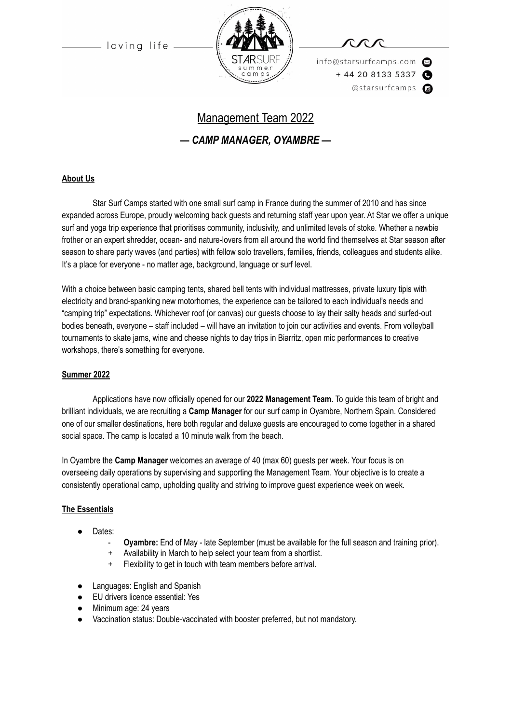

info@starsurfcamps.com  $+442081335337$ @starsurfcamps @

# Management Team 2022 *— CAMP MANAGER, OYAMBRE —*

#### **About Us**

Star Surf Camps started with one small surf camp in France during the summer of 2010 and has since expanded across Europe, proudly welcoming back guests and returning staff year upon year. At Star we offer a unique surf and yoga trip experience that prioritises community, inclusivity, and unlimited levels of stoke. Whether a newbie frother or an expert shredder, ocean- and nature-lovers from all around the world find themselves at Star season after season to share party waves (and parties) with fellow solo travellers, families, friends, colleagues and students alike. It's a place for everyone - no matter age, background, language or surf level.

With a choice between basic camping tents, shared bell tents with individual mattresses, private luxury tipis with electricity and brand-spanking new motorhomes, the experience can be tailored to each individual's needs and "camping trip" expectations. Whichever roof (or canvas) our guests choose to lay their salty heads and surfed-out bodies beneath, everyone – staff included – will have an invitation to join our activities and events. From volleyball tournaments to skate jams, wine and cheese nights to day trips in Biarritz, open mic performances to creative workshops, there's something for everyone.

#### **Summer 2022**

Applications have now officially opened for our **2022 Management Team**. To guide this team of bright and brilliant individuals, we are recruiting a **Camp Manager** for our surf camp in Oyambre, Northern Spain. Considered one of our smaller destinations, here both regular and deluxe guests are encouraged to come together in a shared social space. The camp is located a 10 minute walk from the beach.

In Oyambre the **Camp Manager** welcomes an average of 40 (max 60) guests per week. Your focus is on overseeing daily operations by supervising and supporting the Management Team. Your objective is to create a consistently operational camp, upholding quality and striving to improve guest experience week on week.

#### **The Essentials**

- Dates:
	- **Oyambre:** End of May late September (must be available for the full season and training prior).
	- + Availability in March to help select your team from a shortlist.
	- + Flexibility to get in touch with team members before arrival.
- Languages: English and Spanish
- EU drivers licence essential: Yes
- Minimum age: 24 years
- Vaccination status: Double-vaccinated with booster preferred, but not mandatory.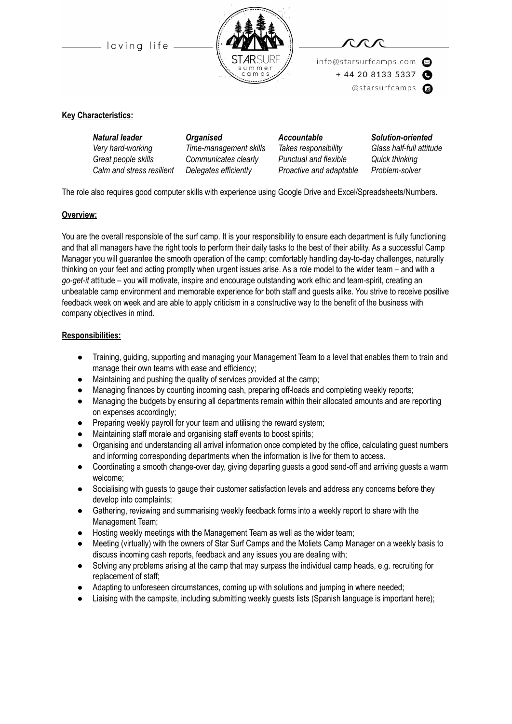



info@starsurfcamps.com  $+442081335337$ 

@starsurfcamps @

#### **Key Characteristics:**

| <b>Organised</b>       | <b>Accountable</b>      | Solution-oriented        |
|------------------------|-------------------------|--------------------------|
| Time-management skills | Takes responsibility    | Glass half-full attitude |
| Communicates clearly   | Punctual and flexible   | Quick thinking           |
| Delegates efficiently  | Proactive and adaptable | Problem-solver           |
|                        |                         |                          |

The role also requires good computer skills with experience using Google Drive and Excel/Spreadsheets/Numbers.

#### **Overview:**

You are the overall responsible of the surf camp. It is your responsibility to ensure each department is fully functioning and that all managers have the right tools to perform their daily tasks to the best of their ability. As a successful Camp Manager you will guarantee the smooth operation of the camp; comfortably handling day-to-day challenges, naturally thinking on your feet and acting promptly when urgent issues arise. As a role model to the wider team – and with a *go-get-it* attitude – you will motivate, inspire and encourage outstanding work ethic and team-spirit, creating an unbeatable camp environment and memorable experience for both staff and guests alike. You strive to receive positive feedback week on week and are able to apply criticism in a constructive way to the benefit of the business with company objectives in mind.

#### **Responsibilities:**

- Training, guiding, supporting and managing your Management Team to a level that enables them to train and manage their own teams with ease and efficiency;
- Maintaining and pushing the quality of services provided at the camp;
- Managing finances by counting incoming cash, preparing off-loads and completing weekly reports;
- Managing the budgets by ensuring all departments remain within their allocated amounts and are reporting on expenses accordingly;
- Preparing weekly payroll for your team and utilising the reward system;
- Maintaining staff morale and organising staff events to boost spirits;
- Organising and understanding all arrival information once completed by the office, calculating guest numbers and informing corresponding departments when the information is live for them to access.
- Coordinating a smooth change-over day, giving departing guests a good send-off and arriving guests a warm welcome;
- Socialising with quests to gauge their customer satisfaction levels and address any concerns before they develop into complaints;
- Gathering, reviewing and summarising weekly feedback forms into a weekly report to share with the Management Team;
- Hosting weekly meetings with the Management Team as well as the wider team;
- Meeting (virtually) with the owners of Star Surf Camps and the Moliets Camp Manager on a weekly basis to discuss incoming cash reports, feedback and any issues you are dealing with;
- Solving any problems arising at the camp that may surpass the individual camp heads, e.g. recruiting for replacement of staff;
- Adapting to unforeseen circumstances, coming up with solutions and jumping in where needed;
- Liaising with the campsite, including submitting weekly guests lists (Spanish language is important here);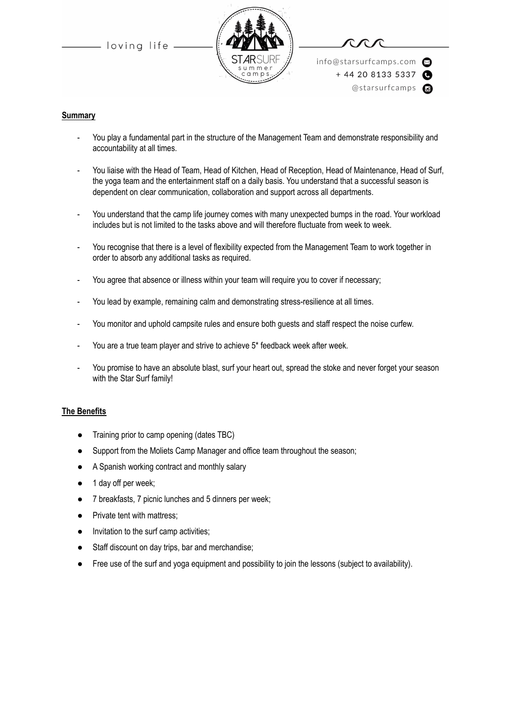



info@starsurfcamps.com  $+442081335337$ @starsurfcamps @

#### **Summary**

- You play a fundamental part in the structure of the Management Team and demonstrate responsibility and accountability at all times.
- You liaise with the Head of Team, Head of Kitchen, Head of Reception, Head of Maintenance, Head of Surf, the yoga team and the entertainment staff on a daily basis. You understand that a successful season is dependent on clear communication, collaboration and support across all departments.
- You understand that the camp life journey comes with many unexpected bumps in the road. Your workload includes but is not limited to the tasks above and will therefore fluctuate from week to week.
- You recognise that there is a level of flexibility expected from the Management Team to work together in order to absorb any additional tasks as required.
- You agree that absence or illness within your team will require you to cover if necessary;
- You lead by example, remaining calm and demonstrating stress-resilience at all times.
- You monitor and uphold campsite rules and ensure both guests and staff respect the noise curfew.
- You are a true team player and strive to achieve 5\* feedback week after week.
- You promise to have an absolute blast, surf your heart out, spread the stoke and never forget your season with the Star Surf family!

#### **The Benefits**

- Training prior to camp opening (dates TBC)
- Support from the Moliets Camp Manager and office team throughout the season;
- A Spanish working contract and monthly salary
- 1 day off per week;
- 7 breakfasts, 7 picnic lunches and 5 dinners per week;
- Private tent with mattress;
- Invitation to the surf camp activities;
- Staff discount on day trips, bar and merchandise;
- Free use of the surf and yoga equipment and possibility to join the lessons (subject to availability).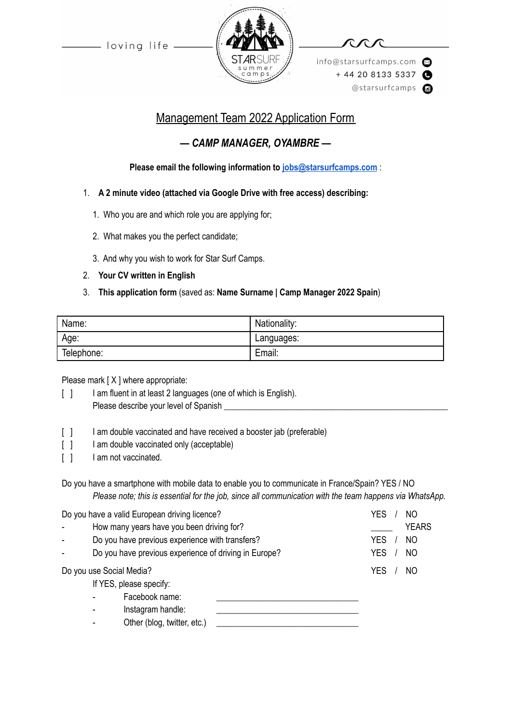

info@starsurfcamps.com  $+442081335337$ @starsurfcamps @

## Management Team 2022 Application Form

### *— CAMP MANAGER, OYAMBRE —*

**Please email the following information to [jobs@starsurfcamps.com](mailto:jobs@starsurfcamps.com)** :

- 1. **A 2 minute video (attached via Google Drive with free access) describing:**
	- 1️. Who you are and which role you are applying for;
	- 2. What makes you the perfect candidate;
	- 3️. And why you wish to work for Star Surf Camps.
- 2. **Your CV written in English**

### 3. **This application form** (saved as: **Name Surname | Camp Manager 2022 Spain**)

| Name:      | Nationality: |
|------------|--------------|
| Age:       | Languages:   |
| Telephone: | Email:       |

Please mark [ X ] where appropriate:

- [ ] I am fluent in at least 2 languages (one of which is English). Please describe your level of Spanish \_\_\_\_\_\_\_\_\_\_\_\_\_\_\_\_\_\_\_\_\_\_\_\_\_\_\_\_\_\_\_\_\_\_\_\_\_\_\_\_\_\_\_\_\_\_\_\_\_\_\_\_
- [ ] I am double vaccinated and have received a booster jab (preferable)
- [ ] I am double vaccinated only (acceptable)
- [ ] I am not vaccinated.

Do you have a smartphone with mobile data to enable you to communicate in France/Spain? YES / NO *Please note; this is essential for the job, since all communication with the team happens via WhatsApp.*

| Do you have a valid European driving licence? |                                                       | <b>YES</b><br>NO |                              |              |
|-----------------------------------------------|-------------------------------------------------------|------------------|------------------------------|--------------|
|                                               | How many years have you been driving for?             |                  |                              | <b>YEARS</b> |
|                                               | Do you have previous experience with transfers?       |                  | <b>YES</b><br>N <sub>O</sub> |              |
|                                               | Do you have previous experience of driving in Europe? |                  | <b>YES</b><br>N <sub>O</sub> |              |
|                                               | Do you use Social Media?                              |                  | YES<br>NO                    |              |
|                                               | If YES, please specify:                               |                  |                              |              |
|                                               | Facebook name:                                        |                  |                              |              |
|                                               | Instagram handle:                                     |                  |                              |              |
|                                               | Other (blog, twitter, etc.)                           |                  |                              |              |